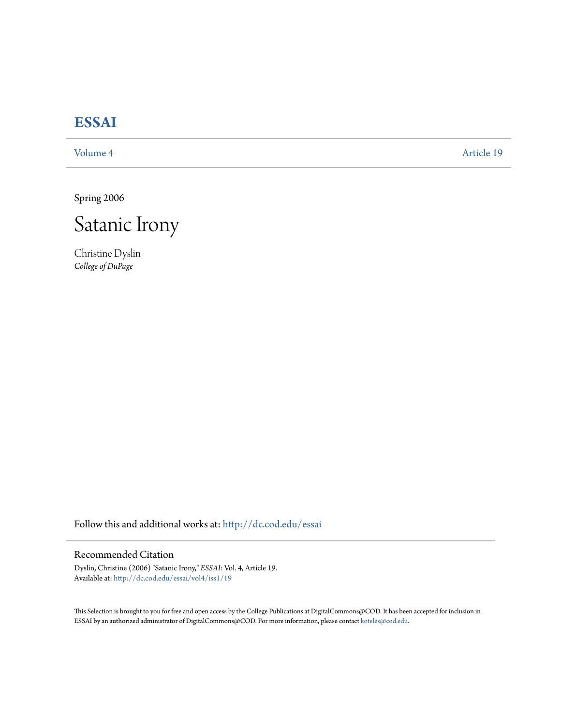# **[ESSAI](http://dc.cod.edu/essai?utm_source=dc.cod.edu%2Fessai%2Fvol4%2Fiss1%2F19&utm_medium=PDF&utm_campaign=PDFCoverPages)**

[Volume 4](http://dc.cod.edu/essai/vol4?utm_source=dc.cod.edu%2Fessai%2Fvol4%2Fiss1%2F19&utm_medium=PDF&utm_campaign=PDFCoverPages) [Article 19](http://dc.cod.edu/essai/vol4/iss1/19?utm_source=dc.cod.edu%2Fessai%2Fvol4%2Fiss1%2F19&utm_medium=PDF&utm_campaign=PDFCoverPages)

Spring 2006



Christine Dyslin *College of DuPage*

Follow this and additional works at: [http://dc.cod.edu/essai](http://dc.cod.edu/essai?utm_source=dc.cod.edu%2Fessai%2Fvol4%2Fiss1%2F19&utm_medium=PDF&utm_campaign=PDFCoverPages)

## Recommended Citation

Dyslin, Christine (2006) "Satanic Irony," *ESSAI*: Vol. 4, Article 19. Available at: [http://dc.cod.edu/essai/vol4/iss1/19](http://dc.cod.edu/essai/vol4/iss1/19?utm_source=dc.cod.edu%2Fessai%2Fvol4%2Fiss1%2F19&utm_medium=PDF&utm_campaign=PDFCoverPages)

This Selection is brought to you for free and open access by the College Publications at DigitalCommons@COD. It has been accepted for inclusion in ESSAI by an authorized administrator of DigitalCommons@COD. For more information, please contact [koteles@cod.edu](mailto:koteles@cod.edu).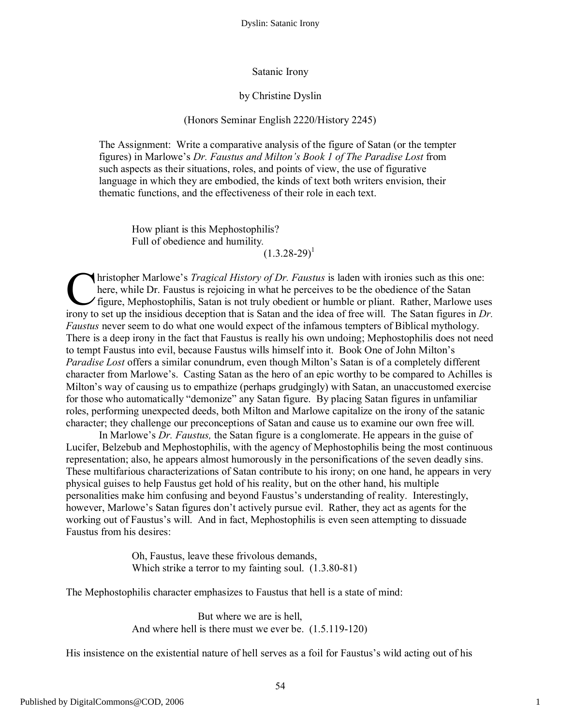Dyslin: Satanic Irony

#### Satanic Irony

#### by Christine Dyslin

## (Honors Seminar English 2220/History 2245)

The Assignment: Write a comparative analysis of the figure of Satan (or the tempter figures) in Marlowe's *Dr. Faustus and Milton's Book 1 of The Paradise Lost* from such aspects as their situations, roles, and points of view, the use of figurative language in which they are embodied, the kinds of text both writers envision, their thematic functions, and the effectiveness of their role in each text.

How pliant is this Mephostophilis? Full of obedience and humility*.*  $(1.3.28 - 29)^1$ 

hristopher Marlowe's *Tragical History of Dr. Faustus* is laden with ironies such as this one: here, while Dr. Faustus is rejoicing in what he perceives to be the obedience of the Satan figure, Mephostophilis, Satan is not truly obedient or humble or pliant. Rather, Marlowe uses Iristopher Marlowe's *Tragical History of Dr. Faustus* is laden with ironies such as this one:<br>here, while Dr. Faustus is rejoicing in what he perceives to be the obedience of the Satan<br>figure, Mephostophilis, Satan is not *Faustus* never seem to do what one would expect of the infamous tempters of Biblical mythology. There is a deep irony in the fact that Faustus is really his own undoing; Mephostophilis does not need to tempt Faustus into evil, because Faustus wills himself into it. Book One of John Milton's *Paradise Lost* offers a similar conundrum, even though Milton's Satan is of a completely different character from Marlowe's. Casting Satan as the hero of an epic worthy to be compared to Achilles is Milton's way of causing us to empathize (perhaps grudgingly) with Satan, an unaccustomed exercise for those who automatically "demonize" any Satan figure. By placing Satan figures in unfamiliar roles, performing unexpected deeds, both Milton and Marlowe capitalize on the irony of the satanic character; they challenge our preconceptions of Satan and cause us to examine our own free will.

In Marlowe's *Dr. Faustus,* the Satan figure is a conglomerate. He appears in the guise of Lucifer, Belzebub and Mephostophilis, with the agency of Mephostophilis being the most continuous representation; also, he appears almost humorously in the personifications of the seven deadly sins. These multifarious characterizations of Satan contribute to his irony; on one hand, he appears in very physical guises to help Faustus get hold of his reality, but on the other hand, his multiple personalities make him confusing and beyond Faustus's understanding of reality. Interestingly, however, Marlowe's Satan figures don't actively pursue evil. Rather, they act as agents for the working out of Faustus's will. And in fact, Mephostophilis is even seen attempting to dissuade Faustus from his desires:

> Oh, Faustus, leave these frivolous demands, Which strike a terror to my fainting soul. (1.3.80-81)

The Mephostophilis character emphasizes to Faustus that hell is a state of mind:

But where we are is hell, And where hell is there must we ever be. (1.5.119-120)

His insistence on the existential nature of hell serves as a foil for Faustus's wild acting out of his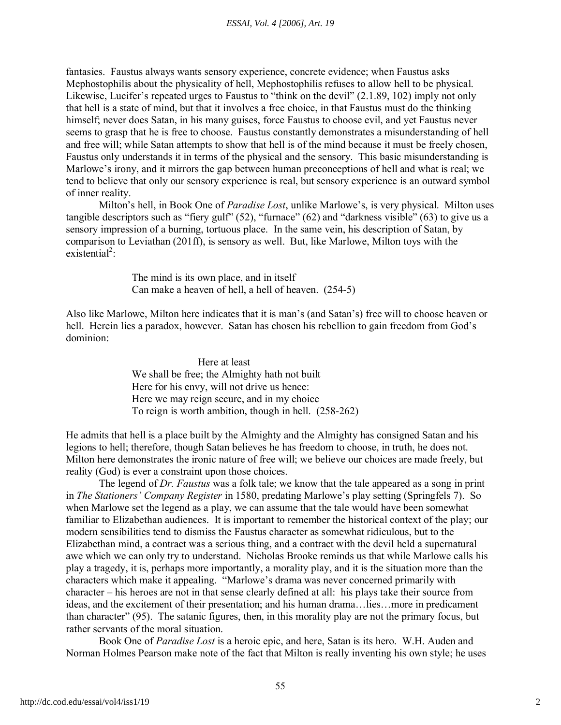fantasies. Faustus always wants sensory experience, concrete evidence; when Faustus asks Mephostophilis about the physicality of hell, Mephostophilis refuses to allow hell to be physical. Likewise, Lucifer's repeated urges to Faustus to "think on the devil" (2.1.89, 102) imply not only that hell is a state of mind, but that it involves a free choice, in that Faustus must do the thinking himself; never does Satan, in his many guises, force Faustus to choose evil, and yet Faustus never seems to grasp that he is free to choose. Faustus constantly demonstrates a misunderstanding of hell and free will; while Satan attempts to show that hell is of the mind because it must be freely chosen, Faustus only understands it in terms of the physical and the sensory. This basic misunderstanding is Marlowe's irony, and it mirrors the gap between human preconceptions of hell and what is real; we tend to believe that only our sensory experience is real, but sensory experience is an outward symbol of inner reality.

Milton's hell, in Book One of *Paradise Lost*, unlike Marlowe's, is very physical. Milton uses tangible descriptors such as "fiery gulf" (52), "furnace" (62) and "darkness visible" (63) to give us a sensory impression of a burning, tortuous place. In the same vein, his description of Satan, by comparison to Leviathan (201ff), is sensory as well. But, like Marlowe, Milton toys with the  $existential<sup>2</sup>$ :

> The mind is its own place, and in itself Can make a heaven of hell, a hell of heaven. (254-5)

Also like Marlowe, Milton here indicates that it is man's (and Satan's) free will to choose heaven or hell. Herein lies a paradox, however. Satan has chosen his rebellion to gain freedom from God's dominion:

> Here at least We shall be free; the Almighty hath not built Here for his envy, will not drive us hence: Here we may reign secure, and in my choice To reign is worth ambition, though in hell. (258-262)

He admits that hell is a place built by the Almighty and the Almighty has consigned Satan and his legions to hell; therefore, though Satan believes he has freedom to choose, in truth, he does not. Milton here demonstrates the ironic nature of free will; we believe our choices are made freely, but reality (God) is ever a constraint upon those choices.

The legend of *Dr. Faustus* was a folk tale; we know that the tale appeared as a song in print in *The Stationers' Company Register* in 1580, predating Marlowe's play setting (Springfels 7). So when Marlowe set the legend as a play, we can assume that the tale would have been somewhat familiar to Elizabethan audiences. It is important to remember the historical context of the play; our modern sensibilities tend to dismiss the Faustus character as somewhat ridiculous, but to the Elizabethan mind, a contract was a serious thing, and a contract with the devil held a supernatural awe which we can only try to understand. Nicholas Brooke reminds us that while Marlowe calls his play a tragedy, it is, perhaps more importantly, a morality play, and it is the situation more than the characters which make it appealing. "Marlowe's drama was never concerned primarily with character – his heroes are not in that sense clearly defined at all: his plays take their source from ideas, and the excitement of their presentation; and his human drama…lies…more in predicament than character" (95). The satanic figures, then, in this morality play are not the primary focus, but rather servants of the moral situation.

Book One of *Paradise Lost* is a heroic epic, and here, Satan is its hero. W.H. Auden and Norman Holmes Pearson make note of the fact that Milton is really inventing his own style; he uses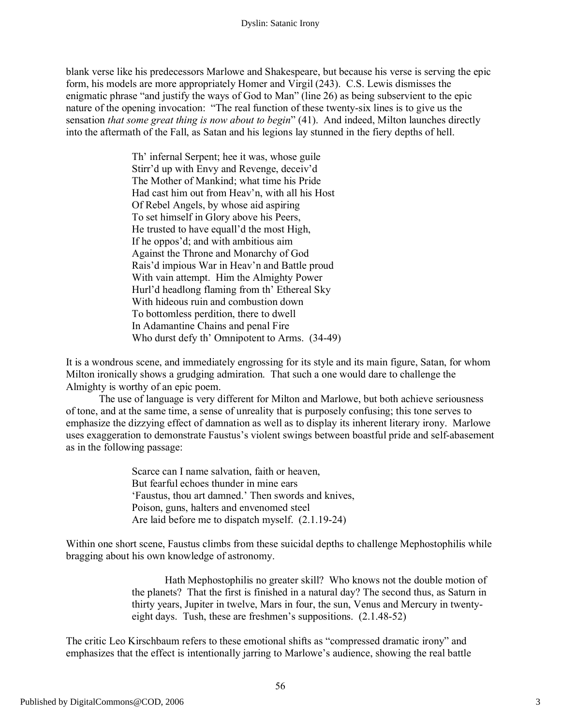blank verse like his predecessors Marlowe and Shakespeare, but because his verse is serving the epic form, his models are more appropriately Homer and Virgil (243). C.S. Lewis dismisses the enigmatic phrase "and justify the ways of God to Man" (line 26) as being subservient to the epic nature of the opening invocation: "The real function of these twenty-six lines is to give us the sensation *that some great thing is now about to begin*" (41). And indeed, Milton launches directly into the aftermath of the Fall, as Satan and his legions lay stunned in the fiery depths of hell.

> Th' infernal Serpent; hee it was, whose guile Stirr'd up with Envy and Revenge, deceiv'd The Mother of Mankind; what time his Pride Had cast him out from Heav'n, with all his Host Of Rebel Angels, by whose aid aspiring To set himself in Glory above his Peers, He trusted to have equall'd the most High, If he oppos'd; and with ambitious aim Against the Throne and Monarchy of God Rais'd impious War in Heav'n and Battle proud With vain attempt. Him the Almighty Power Hurl'd headlong flaming from th' Ethereal Sky With hideous ruin and combustion down To bottomless perdition, there to dwell In Adamantine Chains and penal Fire Who durst defy th' Omnipotent to Arms. (34-49)

It is a wondrous scene, and immediately engrossing for its style and its main figure, Satan, for whom Milton ironically shows a grudging admiration. That such a one would dare to challenge the Almighty is worthy of an epic poem.

The use of language is very different for Milton and Marlowe, but both achieve seriousness of tone, and at the same time, a sense of unreality that is purposely confusing; this tone serves to emphasize the dizzying effect of damnation as well as to display its inherent literary irony. Marlowe uses exaggeration to demonstrate Faustus's violent swings between boastful pride and self-abasement as in the following passage:

> Scarce can I name salvation, faith or heaven, But fearful echoes thunder in mine ears 'Faustus, thou art damned.' Then swords and knives, Poison, guns, halters and envenomed steel Are laid before me to dispatch myself. (2.1.19-24)

Within one short scene, Faustus climbs from these suicidal depths to challenge Mephostophilis while bragging about his own knowledge of astronomy.

> Hath Mephostophilis no greater skill? Who knows not the double motion of the planets? That the first is finished in a natural day? The second thus, as Saturn in thirty years, Jupiter in twelve, Mars in four, the sun, Venus and Mercury in twentyeight days. Tush, these are freshmen's suppositions. (2.1.48-52)

The critic Leo Kirschbaum refers to these emotional shifts as "compressed dramatic irony" and emphasizes that the effect is intentionally jarring to Marlowe's audience, showing the real battle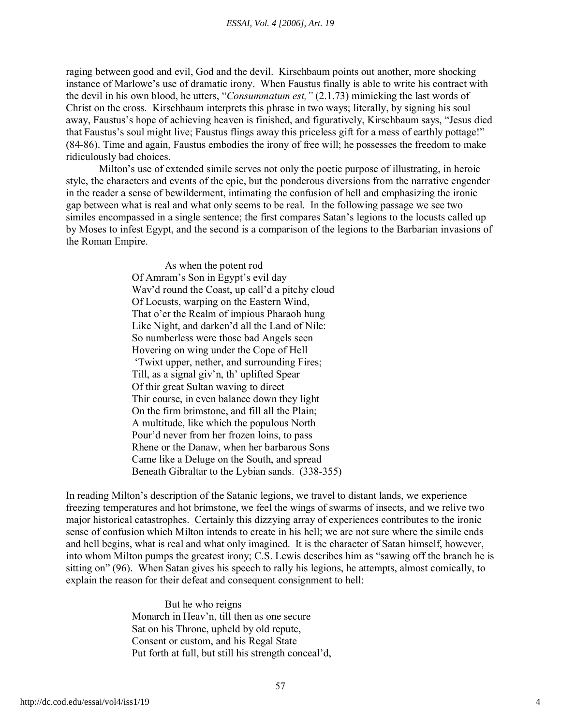raging between good and evil, God and the devil. Kirschbaum points out another, more shocking instance of Marlowe's use of dramatic irony. When Faustus finally is able to write his contract with the devil in his own blood, he utters, "*Consummatum est,"* (2.1.73) mimicking the last words of Christ on the cross. Kirschbaum interprets this phrase in two ways; literally, by signing his soul away, Faustus's hope of achieving heaven is finished, and figuratively, Kirschbaum says, "Jesus died that Faustus's soul might live; Faustus flings away this priceless gift for a mess of earthly pottage!" (84-86). Time and again, Faustus embodies the irony of free will; he possesses the freedom to make ridiculously bad choices.

Milton's use of extended simile serves not only the poetic purpose of illustrating, in heroic style, the characters and events of the epic, but the ponderous diversions from the narrative engender in the reader a sense of bewilderment, intimating the confusion of hell and emphasizing the ironic gap between what is real and what only seems to be real. In the following passage we see two similes encompassed in a single sentence; the first compares Satan's legions to the locusts called up by Moses to infest Egypt, and the second is a comparison of the legions to the Barbarian invasions of the Roman Empire.

> As when the potent rod Of Amram's Son in Egypt's evil day Wav'd round the Coast, up call'd a pitchy cloud Of Locusts, warping on the Eastern Wind, That o'er the Realm of impious Pharaoh hung Like Night, and darken'd all the Land of Nile: So numberless were those bad Angels seen Hovering on wing under the Cope of Hell 'Twixt upper, nether, and surrounding Fires; Till, as a signal giv'n, th' uplifted Spear Of thir great Sultan waving to direct Thir course, in even balance down they light On the firm brimstone, and fill all the Plain; A multitude, like which the populous North Pour'd never from her frozen loins, to pass Rhene or the Danaw, when her barbarous Sons Came like a Deluge on the South, and spread Beneath Gibraltar to the Lybian sands. (338-355)

In reading Milton's description of the Satanic legions, we travel to distant lands, we experience freezing temperatures and hot brimstone, we feel the wings of swarms of insects, and we relive two major historical catastrophes. Certainly this dizzying array of experiences contributes to the ironic sense of confusion which Milton intends to create in his hell; we are not sure where the simile ends and hell begins, what is real and what only imagined. It is the character of Satan himself, however, into whom Milton pumps the greatest irony; C.S. Lewis describes him as "sawing off the branch he is sitting on" (96). When Satan gives his speech to rally his legions, he attempts, almost comically, to explain the reason for their defeat and consequent consignment to hell:

> But he who reigns Monarch in Heav'n, till then as one secure Sat on his Throne, upheld by old repute, Consent or custom, and his Regal State Put forth at full, but still his strength conceal'd,

4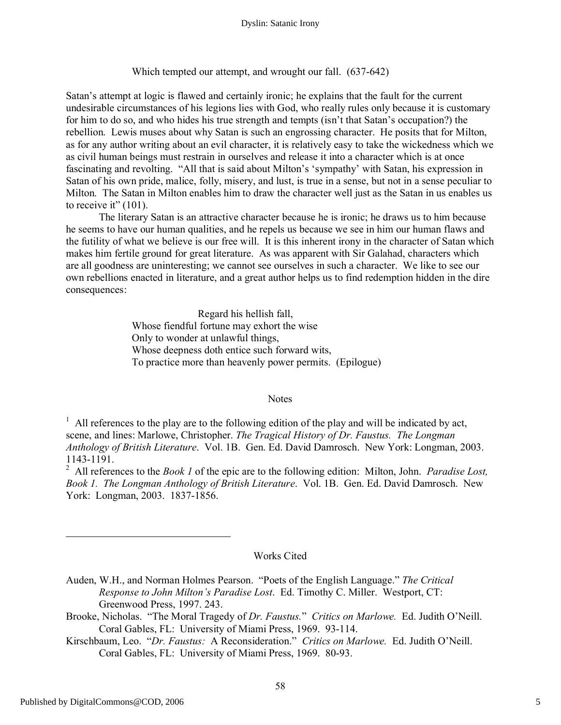Which tempted our attempt, and wrought our fall. (637-642)

Satan's attempt at logic is flawed and certainly ironic; he explains that the fault for the current undesirable circumstances of his legions lies with God, who really rules only because it is customary for him to do so, and who hides his true strength and tempts (isn't that Satan's occupation?) the rebellion. Lewis muses about why Satan is such an engrossing character. He posits that for Milton, as for any author writing about an evil character, it is relatively easy to take the wickedness which we as civil human beings must restrain in ourselves and release it into a character which is at once fascinating and revolting. "All that is said about Milton's 'sympathy' with Satan, his expression in Satan of his own pride, malice, folly, misery, and lust, is true in a sense, but not in a sense peculiar to Milton. The Satan in Milton enables him to draw the character well just as the Satan in us enables us to receive it"  $(101)$ .

The literary Satan is an attractive character because he is ironic; he draws us to him because he seems to have our human qualities, and he repels us because we see in him our human flaws and the futility of what we believe is our free will. It is this inherent irony in the character of Satan which makes him fertile ground for great literature. As was apparent with Sir Galahad, characters which are all goodness are uninteresting; we cannot see ourselves in such a character. We like to see our own rebellions enacted in literature, and a great author helps us to find redemption hidden in the dire consequences:

> Regard his hellish fall, Whose fiendful fortune may exhort the wise Only to wonder at unlawful things, Whose deepness doth entice such forward wits, To practice more than heavenly power permits. (Epilogue)

#### **Notes**

 $1$  All references to the play are to the following edition of the play and will be indicated by act, scene, and lines: Marlowe, Christopher. *The Tragical History of Dr. Faustus. The Longman Anthology of British Literature*. Vol. 1B. Gen. Ed. David Damrosch. New York: Longman, 2003. 1143-1191.

2 All references to the *Book 1* of the epic are to the following edition: Milton, John. *Paradise Lost, Book 1. The Longman Anthology of British Literature*. Vol. 1B. Gen. Ed. David Damrosch. New York: Longman, 2003. 1837-1856.

### Works Cited

- Auden, W.H., and Norman Holmes Pearson. "Poets of the English Language." *The Critical Response to John Milton's Paradise Lost*. Ed. Timothy C. Miller. Westport, CT: Greenwood Press, 1997. 243.
- Brooke, Nicholas. "The Moral Tragedy of *Dr. Faustus.*" *Critics on Marlowe.* Ed. Judith O'Neill. Coral Gables, FL: University of Miami Press, 1969. 93-114.
- Kirschbaum, Leo. "*Dr. Faustus:* A Reconsideration." *Critics on Marlowe.* Ed. Judith O'Neill. Coral Gables, FL: University of Miami Press, 1969. 80-93.